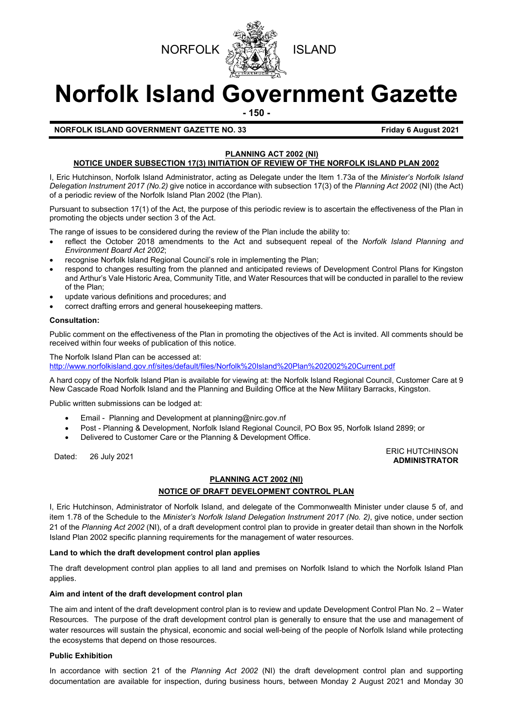



# **Norfolk Island Government Gazette**

**- 150 -**

#### **NORFOLK ISLAND GOVERNMENT GAZETTE NO. 33 Friday 6 August 2021**

#### **PLANNING ACT 2002 (NI)**

#### **NOTICE UNDER SUBSECTION 17(3) INITIATION OF REVIEW OF THE NORFOLK ISLAND PLAN 2002**

I, Eric Hutchinson, Norfolk Island Administrator, acting as Delegate under the Item 1.73a of the *Minister's Norfolk Island Delegation Instrument 2017 (No.2)* give notice in accordance with subsection 17(3) of the *Planning Act 2002* (NI) (the Act) of a periodic review of the Norfolk Island Plan 2002 (the Plan).

Pursuant to subsection 17(1) of the Act, the purpose of this periodic review is to ascertain the effectiveness of the Plan in promoting the objects under section 3 of the Act.

The range of issues to be considered during the review of the Plan include the ability to:

- reflect the October 2018 amendments to the Act and subsequent repeal of the *Norfolk Island Planning and Environment Board Act 2002*;
- recognise Norfolk Island Regional Council's role in implementing the Plan;
- respond to changes resulting from the planned and anticipated reviews of Development Control Plans for Kingston and Arthur's Vale Historic Area, Community Title, and Water Resources that will be conducted in parallel to the review of the Plan;
- update various definitions and procedures; and
- correct drafting errors and general housekeeping matters.

#### **Consultation:**

Public comment on the effectiveness of the Plan in promoting the objectives of the Act is invited. All comments should be received within four weeks of publication of this notice.

The Norfolk Island Plan can be accessed at: <http://www.norfolkisland.gov.nf/sites/default/files/Norfolk%20Island%20Plan%202002%20Current.pdf>

A hard copy of the Norfolk Island Plan is available for viewing at: the Norfolk Island Regional Council, Customer Care at 9 New Cascade Road Norfolk Island and the Planning and Building Office at the New Military Barracks, Kingston.

Public written submissions can be lodged at:

- Email Planning and Development at [planning@nirc.gov.nf](mailto:planning@nirc.gov.nf)
- Post Planning & Development, Norfolk Island Regional Council, PO Box 95, Norfolk Island 2899; or
- Delivered to Customer Care or the Planning & Development Office.

#### Dated: 26 July 2021<br>Dated: 26 July 2021 **ADMINISTRATOR**

#### **PLANNING ACT 2002 (NI)**

#### **NOTICE OF DRAFT DEVELOPMENT CONTROL PLAN**

I, Eric Hutchinson, Administrator of Norfolk Island, and delegate of the Commonwealth Minister under clause 5 of, and item 1.78 of the Schedule to the *Minister's Norfolk Island Delegation Instrument 2017 (No. 2)*, give notice, under section 21 of the *Planning Act 2002* (NI), of a draft development control plan to provide in greater detail than shown in the Norfolk Island Plan 2002 specific planning requirements for the management of water resources.

#### **Land to which the draft development control plan applies**

The draft development control plan applies to all land and premises on Norfolk Island to which the Norfolk Island Plan applies.

#### **Aim and intent of the draft development control plan**

The aim and intent of the draft development control plan is to review and update Development Control Plan No. 2 – Water Resources. The purpose of the draft development control plan is generally to ensure that the use and management of water resources will sustain the physical, economic and social well-being of the people of Norfolk Island while protecting the ecosystems that depend on those resources.

#### **Public Exhibition**

In accordance with section 21 of the *Planning Act 2002* (NI) the draft development control plan and supporting documentation are available for inspection, during business hours, between Monday 2 August 2021 and Monday 30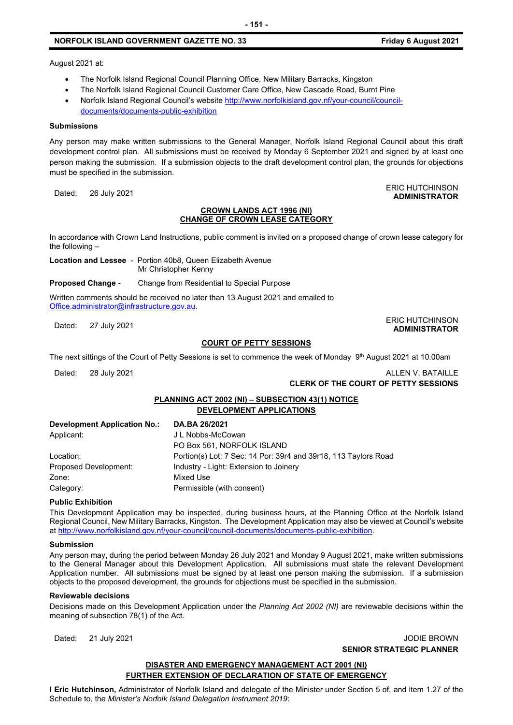#### **NORFOLK ISLAND GOVERNMENT GAZETTE NO. 33 Friday 6 August 2021**

**ADMINISTRATOR**

August 2021 at:

- The Norfolk Island Regional Council Planning Office, New Military Barracks, Kingston
- The Norfolk Island Regional Council Customer Care Office, New Cascade Road, Burnt Pine
- Norfolk Island Regional Council's website [http://www.norfolkisland.gov.nf/your-council/council](http://www.norfolkisland.gov.nf/your-council/council-documents/documents-public-exhibition)[documents/documents-public-exhibition](http://www.norfolkisland.gov.nf/your-council/council-documents/documents-public-exhibition)

#### **Submissions**

Any person may make written submissions to the General Manager, Norfolk Island Regional Council about this draft development control plan. All submissions must be received by Monday 6 September 2021 and signed by at least one person making the submission. If a submission objects to the draft development control plan, the grounds for objections must be specified in the submission.

Dated: 26 July 2021<br>Dated: 26 July 2021

#### **CROWN LANDS ACT 1996 (NI) CHANGE OF CROWN LEASE CATEGORY**

In accordance with Crown Land Instructions, public comment is invited on a proposed change of crown lease category for the following –

**Location and Lessee** - Portion 40b8, Queen Elizabeth Avenue Mr Christopher Kenny

**Proposed Change** - Change from Residential to Special Purpose

Written comments should be received no later than 13 August 2021 and emailed to [Office.administrator@infrastructure.gov.au.](mailto:Office.administrator@infrastructure.gov.au)

Dated: 27 July 2021<br>Dated: 27 July 2021

## **COURT OF PETTY SESSIONS**

The next sittings of the Court of Petty Sessions is set to commence the week of Monday 9<sup>th</sup> August 2021 at 10.00am

Dated: 28 July 2021 2002 12:00 2008 2009 2009 2012 2021 2021 2021 2022 2021 2022 2021 2022 2021 2022 2021 2022

**ADMINISTRATOR**

**CLERK OF THE COURT OF PETTY SESSIONS**

#### **PLANNING ACT 2002 (NI) – SUBSECTION 43(1) NOTICE DEVELOPMENT APPLICATIONS**

| <b>Development Application No.:</b> | DA.BA 26/2021                                                   |
|-------------------------------------|-----------------------------------------------------------------|
| Applicant:                          | J L Nobbs-McCowan                                               |
|                                     | PO Box 561, NORFOLK ISLAND                                      |
| Location:                           | Portion(s) Lot: 7 Sec: 14 Por: 39r4 and 39r18, 113 Taylors Road |
| Proposed Development:               | Industry - Light: Extension to Joinery                          |
| Zone:                               | Mixed Use                                                       |
| Category:                           | Permissible (with consent)                                      |

#### **Public Exhibition**

This Development Application may be inspected, during business hours, at the Planning Office at the Norfolk Island Regional Council, New Military Barracks, Kingston. The Development Application may also be viewed at Council's website a[t http://www.norfolkisland.gov.nf/your-council/council-documents/documents-public-exhibition.](http://www.norfolkisland.gov.nf/your-council/council-documents/documents-public-exhibition)

#### **Submission**

Any person may, during the period between Monday 26 July 2021 and Monday 9 August 2021, make written submissions to the General Manager about this Development Application. All submissions must state the relevant Development Application number. All submissions must be signed by at least one person making the submission. If a submission objects to the proposed development, the grounds for objections must be specified in the submission.

#### **Reviewable decisions**

Decisions made on this Development Application under the *Planning Act 2002 (NI)* are reviewable decisions within the meaning of subsection 78(1) of the Act.

Dated: 21 July 2021 JODIE BROWN **SENIOR STRATEGIC PLANNER** 

#### **DISASTER AND EMERGENCY MANAGEMENT ACT 2001 (NI) FURTHER EXTENSION OF DECLARATION OF STATE OF EMERGENCY**

I **Eric Hutchinson,** Administrator of Norfolk Island and delegate of the Minister under Section 5 of, and item 1.27 of the Schedule to, the *Minister's Norfolk Island Delegation Instrument 2019*: